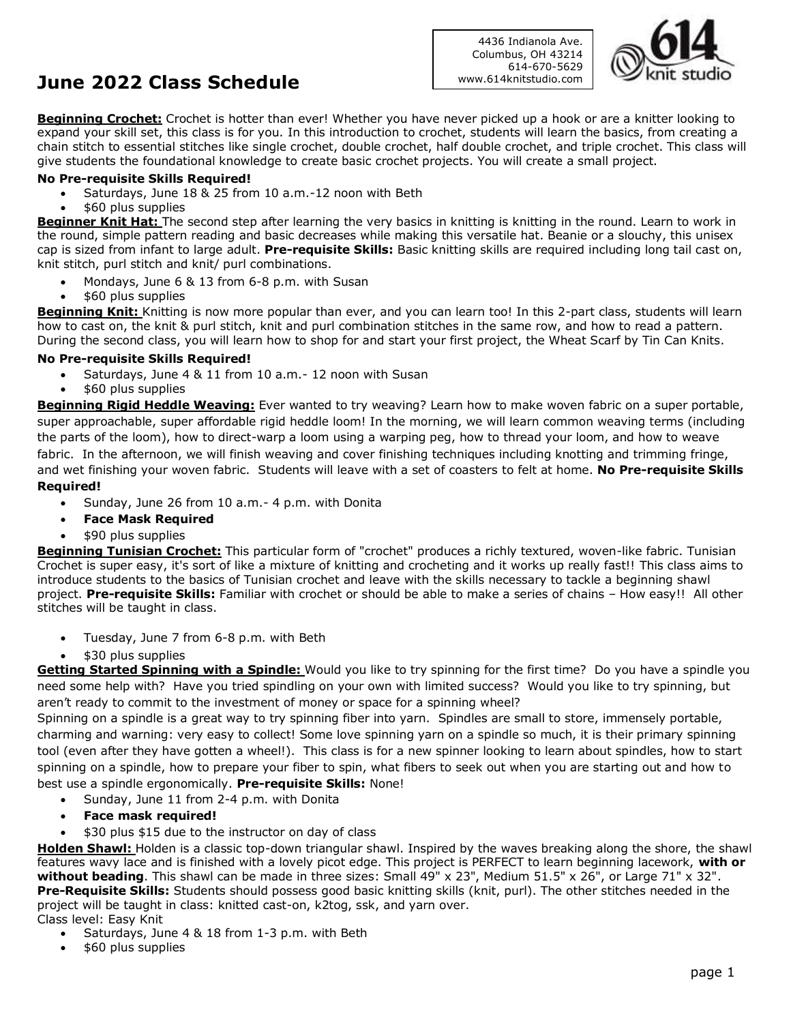# **June 2022 Class Schedule**

4436 Indianola Ave. Columbus, OH 43214 614-670-5629 www.614knitstudio.com



**Beginning Crochet:** Crochet is hotter than ever! Whether you have never picked up a hook or are a knitter looking to expand your skill set, this class is for you. In this introduction to crochet, students will learn the basics, from creating a chain stitch to essential stitches like single crochet, double crochet, half double crochet, and triple crochet. This class will give students the foundational knowledge to create basic crochet projects. You will create a small project.

### **No Pre-requisite Skills Required!**

- Saturdays, June 18 & 25 from 10 a.m.-12 noon with Beth
- \$60 plus supplies

**Beginner Knit Hat:** The second step after learning the very basics in knitting is knitting in the round. Learn to work in the round, simple pattern reading and basic decreases while making this versatile hat. Beanie or a slouchy, this unisex cap is sized from infant to large adult. **Pre-requisite Skills:** Basic knitting skills are required including long tail cast on, knit stitch, purl stitch and knit/ purl combinations.

- Mondays, June 6 & 13 from 6-8 p.m. with Susan
- \$60 plus supplies

Beginning Knit: Knitting is now more popular than ever, and you can learn too! In this 2-part class, students will learn how to cast on, the knit & purl stitch, knit and purl combination stitches in the same row, and how to read a pattern. During the second class, you will learn how to shop for and start your first project, the Wheat Scarf by Tin Can Knits.

### **No Pre-requisite Skills Required!**

- Saturdays, June 4 & 11 from 10 a.m. 12 noon with Susan
- \$60 plus supplies

**Beginning Rigid Heddle Weaving:** Ever wanted to try weaving? Learn how to make woven fabric on a super portable, super approachable, super affordable rigid heddle loom! In the morning, we will learn common weaving terms (including the parts of the loom), how to direct-warp a loom using a warping peg, how to thread your loom, and how to weave fabric. In the afternoon, we will finish weaving and cover finishing techniques including knotting and trimming fringe, and wet finishing your woven fabric. Students will leave with a set of coasters to felt at home. **No Pre-requisite Skills Required!**

- Sunday, June 26 from 10 a.m.- 4 p.m. with Donita
- **Face Mask Required**
- \$90 plus supplies

**Beginning Tunisian Crochet:** This particular form of "crochet" produces a richly textured, woven-like fabric. Tunisian Crochet is super easy, it's sort of like a mixture of knitting and crocheting and it works up really fast!! This class aims to introduce students to the basics of Tunisian crochet and leave with the skills necessary to tackle a beginning shawl project. **Pre-requisite Skills:** Familiar with crochet or should be able to make a series of chains – How easy!! All other stitches will be taught in class.

- Tuesday, June 7 from 6-8 p.m. with Beth
- \$30 plus supplies

**Getting Started Spinning with a Spindle:** Would you like to try spinning for the first time? Do you have a spindle you need some help with? Have you tried spindling on your own with limited success? Would you like to try spinning, but aren't ready to commit to the investment of money or space for a spinning wheel?

Spinning on a spindle is a great way to try spinning fiber into yarn. Spindles are small to store, immensely portable, charming and warning: very easy to collect! Some love spinning yarn on a spindle so much, it is their primary spinning tool (even after they have gotten a wheel!). This class is for a new spinner looking to learn about spindles, how to start spinning on a spindle, how to prepare your fiber to spin, what fibers to seek out when you are starting out and how to best use a spindle ergonomically. **Pre-requisite Skills:** None!

- Sunday, June 11 from 2-4 p.m. with Donita
- **Face mask required!**
- \$30 plus \$15 due to the instructor on day of class

**Holden Shawl:** Holden is a classic top-down triangular shawl. Inspired by the waves breaking along the shore, the shawl features wavy lace and is finished with a lovely picot edge. This project is PERFECT to learn beginning lacework, **with or without beading**. This shawl can be made in three sizes: Small 49" x 23", Medium 51.5" x 26", or Large 71" x 32". **Pre-Requisite Skills:** Students should possess good basic knitting skills (knit, purl). The other stitches needed in the project will be taught in class: knitted cast-on, k2tog, ssk, and yarn over. Class level: Easy Knit

- Saturdays, June 4 & 18 from 1-3 p.m. with Beth
- \$60 plus supplies